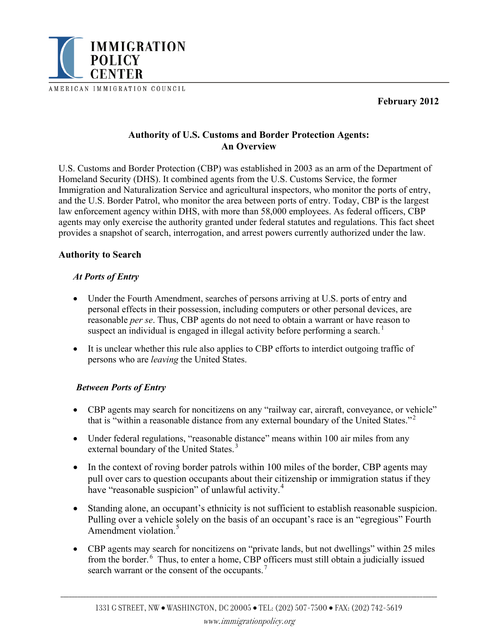

AMERICAN IMMIGRATION COUNCIL

**February 2012** 

# **Authority of U.S. Customs and Border Protection Agents: An Overview**

U.S. Customs and Border Protection (CBP) was established in 2003 as an arm of the Department of Homeland Security (DHS). It combined agents from the U.S. Customs Service, the former Immigration and Naturalization Service and agricultural inspectors, who monitor the ports of entry, and the U.S. Border Patrol, who monitor the area between ports of entry. Today, CBP is the largest law enforcement agency within DHS, with more than 58,000 employees. As federal officers, CBP agents may only exercise the authority granted under federal statutes and regulations. This fact sheet provides a snapshot of search, interrogation, and arrest powers currently authorized under the law.

# **Authority to Search**

## *At Ports of Entry*

- Under the Fourth Amendment, searches of persons arriving at U.S. ports of entry and personal effects in their possession, including computers or other personal devices, are reasonable *per se*. Thus, CBP agents do not need to obtain a warrant or have reason to suspect an individual is engaged in illegal activity before performing a search.<sup>1</sup>
- It is unclear whether this rule also applies to CBP efforts to interdict outgoing traffic of persons who are *leaving* the United States.

## *Between Ports of Entry*

- CBP agents may search for noncitizens on any "railway car, aircraft, conveyance, or vehicle" that is "within a reasonable distance from any external boundary of the United States."<sup>2</sup>
- Under federal regulations, "reasonable distance" means within 100 air miles from any external boundary of the United States.<sup>3</sup>
- In the context of roving border patrols within 100 miles of the border, CBP agents may pull over cars to question occupants about their citizenship or immigration status if they have "reasonable suspicion" of unlawful activity.<sup>[4](#page-1-0)</sup>
- Standing alone, an occupant's ethnicity is not sufficient to establish reasonable suspicion. Pulling over a vehicle solely on the basis of an occupant's race is an "egregious" Fourth Amendment violation<sup>[5](#page-1-0)</sup>
- CBP agents may search for noncitizens on "private lands, but not dwellings" within 25 miles from the border. 6 Thus, to enter a home, CBP officers must still obtain a judicially issued search warrant or the consent of the occupants.<sup>7</sup>

\_\_\_\_\_\_\_\_\_\_\_\_\_\_\_\_\_\_\_\_\_\_\_\_\_\_\_\_\_\_\_\_\_\_\_\_\_\_\_\_\_\_\_\_\_\_\_\_\_\_\_\_\_\_\_\_\_\_\_\_\_\_\_\_\_\_\_\_\_\_\_\_\_\_\_\_\_\_\_\_\_\_\_\_\_\_\_\_\_\_\_\_\_\_\_\_\_\_\_\_\_\_\_\_\_\_\_\_\_\_\_\_\_\_\_\_\_\_\_\_\_\_\_\_\_\_\_\_\_\_\_\_